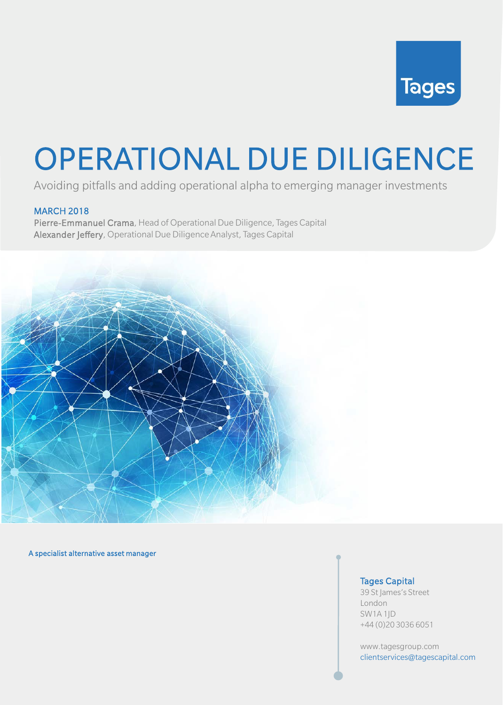

# OPERATIONAL DUE DILIGENCE

Avoiding pitfalls and adding operational alpha to emerging manager investments

### MARCH 2018

Pierre-Emmanuel Crama, Head of Operational Due Diligence, Tages Capital Alexander Jeffery, Operational Due Diligence Analyst, Tages Capital



#### A specialist alternative asset manager

#### Tages Capital

39 St James's Street London SW1A 1JD +44 (0)20 3036 6051

www.tagesgroup.com clientservices@tagescapital.com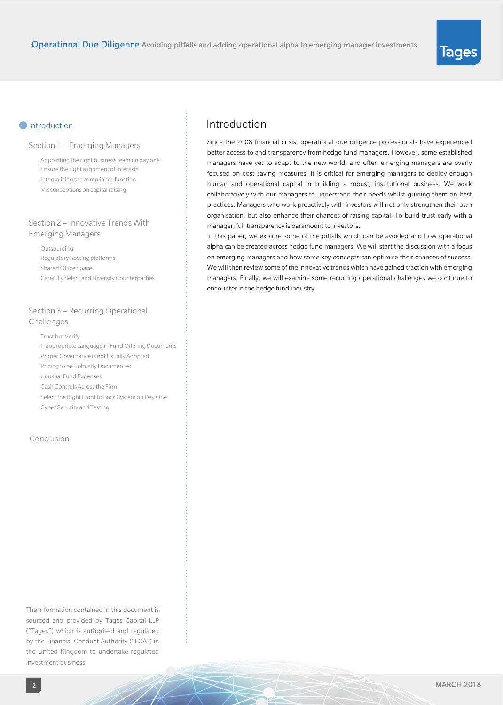#### **Introduction**

#### Section 1 – Emerging Managers

Appointing the right business team on day one Ensure the right alignment of interests Internalising the compliance function Misconceptions on capital raising

#### Section 2 – Innovative Trends With Emerging Managers

Outsourcing Regulatory hosting platforms Shared Office Space Carefully Select and Diversify Counterparties

#### Section 3 – Recurring Operational Challenges

Trust but Verify Inappropriate Language in Fund Offering Documents Proper Governance is not Usually Adopted Pricing to be Robustly Documented Unusual Fund Expenses Cash Controls Across the Firm Select the Right Front to Back System on Day One Cyber Security and Testing

#### Conclusion

The information contained in this document is sourced and provided by Tages Capital LLP ("Tages") which is authorised and regulated by the Financial Conduct Authority ("FCA") in the United Kingdom to undertake regulated investment business.

# Introduction

Since the 2008 financial crisis, operational due diligence professionals have experienced better access to and transparency from hedge fund managers. However, some established managers have yet to adapt to the new world, and often emerging managers are overly focused on cost saving measures. It is critical for emerging managers to deploy enough human and operational capital in building a robust, institutional business. We work collaboratively with our managers to understand their needs whilst guiding them on best practices. Managers who work proactively with investors will not only strengthen their own organisation, but also enhance their chances of raising capital. To build trust early with a manager, full transparency is paramount to investors.

In this paper, we explore some of the pitfalls which can be avoided and how operational alpha can be created across hedge fund managers. We will start the discussion with a focus on emerging managers and how some key concepts can optimise their chances of success. We will then review some of the innovative trends which have gained traction with emerging managers. Finally, we will examine some recurring operational challenges we continue to encounter in the hedge fund industry.

**Tages**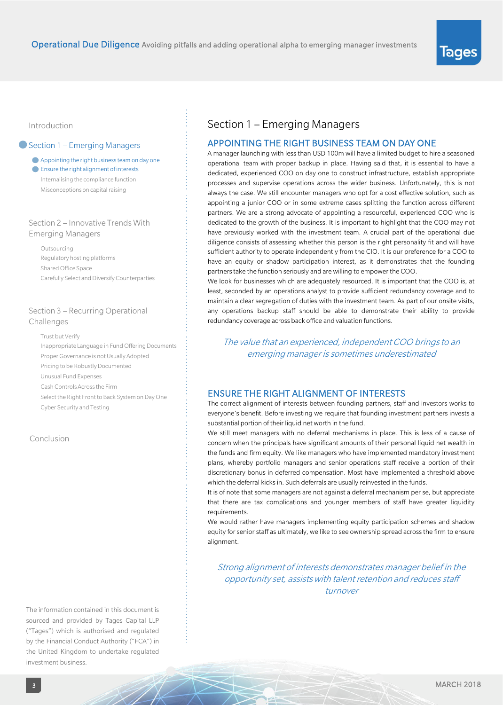#### Introduction

#### Section 1 – Emerging Managers

Appointing the right business team on day one

Ensure the right alignment of interests Internalising the compliance function Misconceptions on capital raising

#### Section 2 – Innovative Trends With Emerging Managers

Outsourcing Regulatory hosting platforms Shared Office Space Carefully Select and Diversify Counterparties

#### Section 3 – Recurring Operational Challenges

Trust but Verify Inappropriate Language in Fund Offering Documents Proper Governance is not Usually Adopted Pricing to be Robustly Documented Unusual Fund Expenses Cash Controls Across the Firm Select the Right Front to Back System on Day One Cyber Security and Testing

#### Conclusion

The information contained in this document is sourced and provided by Tages Capital LLP ("Tages") which is authorised and regulated by the Financial Conduct Authority ("FCA") in the United Kingdom to undertake regulated investment business.

 $\mathbb{Z} \mathbb{X}$ 

### Section 1 – Emerging Managers

#### APPOINTING THE RIGHT BUSINESS TEAM ON DAY ONE

A manager launching with less than USD 100m will have a limited budget to hire a seasoned operational team with proper backup in place. Having said that, it is essential to have a dedicated, experienced COO on day one to construct infrastructure, establish appropriate processes and supervise operations across the wider business. Unfortunately, this is not always the case. We still encounter managers who opt for a cost effective solution, such as appointing a junior COO or in some extreme cases splitting the function across different partners. We are a strong advocate of appointing a resourceful, experienced COO who is dedicated to the growth of the business. It is important to highlight that the COO may not have previously worked with the investment team. A crucial part of the operational due diligence consists of assessing whether this person is the right personality fit and will have sufficient authority to operate independently from the CIO. It is our preference for a COO to have an equity or shadow participation interest, as it demonstrates that the founding partners take the function seriously and are willing to empower the COO.

We look for businesses which are adequately resourced. It is important that the COO is, at least, seconded by an operations analyst to provide sufficient redundancy coverage and to maintain a clear segregation of duties with the investment team. As part of our onsite visits, any operations backup staff should be able to demonstrate their ability to provide redundancy coverage across back office and valuation functions.

The value that an experienced, independent COO brings to an emerging manager is sometimes underestimated

#### ENSURE THE RIGHT ALIGNMENT OF INTERESTS

The correct alignment of interests between founding partners, staff and investors works to everyone's benefit. Before investing we require that founding investment partners invests a substantial portion of their liquid net worth in the fund.

We still meet managers with no deferral mechanisms in place. This is less of a cause of concern when the principals have significant amounts of their personal liquid net wealth in the funds and firm equity. We like managers who have implemented mandatory investment plans, whereby portfolio managers and senior operations staff receive a portion of their discretionary bonus in deferred compensation. Most have implemented a threshold above which the deferral kicks in. Such deferrals are usually reinvested in the funds.

It is of note that some managers are not against a deferral mechanism per se, but appreciate that there are tax complications and younger members of staff have greater liquidity requirements.

We would rather have managers implementing equity participation schemes and shadow equity for senior staff as ultimately, we like to see ownership spread acrossthe firm to ensure alignment.

Strong alignment of interests demonstrates manager belief in the opportunity set, assists with talent retention and reduces staff turnover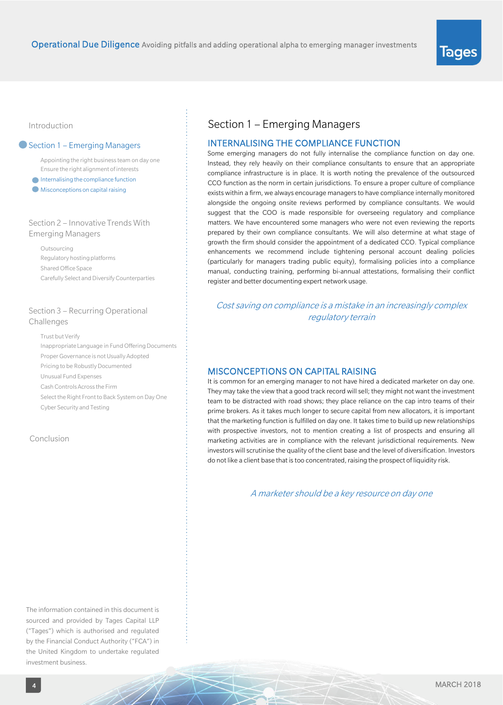#### Introduction

#### Section 1 – Emerging Managers

Appointing the right business team on day one Ensure the right alignment of interests

- $\bigcap$  Internalising the compliance function
- Misconceptions on capital raising

#### Section 2 – Innovative Trends With Emerging Managers

Outsourcing Regulatory hosting platforms Shared Office Space Carefully Select and Diversify Counterparties

#### Section 3 – Recurring Operational Challenges

Trust but Verify Inappropriate Language in Fund Offering Documents Proper Governance is not Usually Adopted Pricing to be Robustly Documented Unusual Fund Expenses Cash Controls Across the Firm Select the Right Front to Back System on Day One Cyber Security and Testing

#### Conclusion

The information contained in this document is sourced and provided by Tages Capital LLP ("Tages") which is authorised and regulated by the Financial Conduct Authority ("FCA") in the United Kingdom to undertake regulated investment business.

### Section 1 – Emerging Managers

#### INTERNALISING THE COMPLIANCE FUNCTION

Some emerging managers do not fully internalise the compliance function on day one. Instead, they rely heavily on their compliance consultants to ensure that an appropriate compliance infrastructure is in place. It is worth noting the prevalence of the outsourced CCO function as the norm in certain jurisdictions. To ensure a proper culture of compliance exists within a firm, we always encourage managers to have compliance internally monitored alongside the ongoing onsite reviews performed by compliance consultants. We would suggest that the COO is made responsible for overseeing regulatory and compliance matters. We have encountered some managers who were not even reviewing the reports prepared by their own compliance consultants. We will also determine at what stage of growth the firm should consider the appointment of a dedicated CCO. Typical compliance enhancements we recommend include tightening personal account dealing policies (particularly for managers trading public equity), formalising policies into a compliance manual, conducting training, performing bi-annual attestations, formalising their conflict register and better documenting expert network usage.

Cost saving on compliance is a mistake in an increasingly complex regulatory terrain

#### MISCONCEPTIONS ON CAPITAL RAISING

It is common for an emerging manager to not have hired a dedicated marketer on day one. They may take the view that a good track record will sell; they might not want the investment team to be distracted with road shows; they place reliance on the cap intro teams of their prime brokers. As it takes much longer to secure capital from new allocators, it is important that the marketing function is fulfilled on day one. It takes time to build up new relationships with prospective investors, not to mention creating a list of prospects and ensuring all marketing activities are in compliance with the relevant jurisdictional requirements. New investors will scrutinise the quality of the client base and the level of diversification. Investors do not like a client base that is too concentrated, raising the prospect of liquidity risk.

A marketer should be a key resource on day one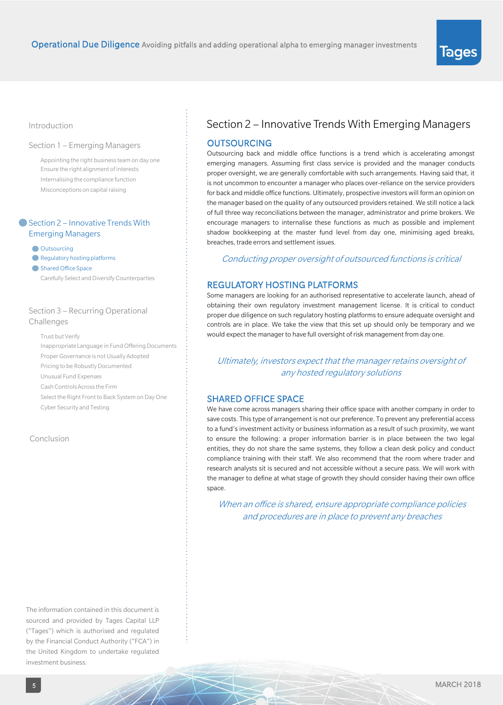#### Introduction

#### Section 1 – Emerging Managers

Appointing the right business team on day one Ensure the right alignment of interests Internalising the compliance function Misconceptions on capital raising

#### ● Section 2 – Innovative Trends With Emerging Managers

**Outsourcing** 

- Regulatory hosting platforms
- Shared Office Space

Carefully Select and Diversify Counterparties

#### Section 3 – Recurring Operational Challenges

Trust but Verify

Inappropriate Language in Fund Offering Documents Proper Governance is not Usually Adopted Pricing to be Robustly Documented Unusual Fund Expenses Cash Controls Across the Firm Select the Right Front to Back System on Day One

Cyber Security and Testing

#### Conclusion

The information contained in this document is sourced and provided by Tages Capital LLP ("Tages") which is authorised and regulated by the Financial Conduct Authority ("FCA") in the United Kingdom to undertake regulated investment business.

 $\mathbb{Z} \mathbb{X}$ 

### Section 2 – Innovative Trends With Emerging Managers

#### **OUTSOURCING**

Outsourcing back and middle office functions is a trend which is accelerating amongst emerging managers. Assuming first class service is provided and the manager conducts proper oversight, we are generally comfortable with such arrangements. Having said that, it is not uncommon to encounter a manager who places over-reliance on the service providers for back and middle office functions. Ultimately, prospective investors will form an opinion on the manager based on the quality of any outsourced providers retained. We still notice a lack of full three way reconciliations between the manager, administrator and prime brokers. We encourage managers to internalise these functions as much as possible and implement shadow bookkeeping at the master fund level from day one, minimising aged breaks, breaches, trade errors and settlement issues.

#### Conducting proper oversight of outsourced functions is critical

#### REGULATORY HOSTING PLATFORMS

Some managers are looking for an authorised representative to accelerate launch, ahead of obtaining their own regulatory investment management license. It is critical to conduct proper due diligence on such regulatory hosting platforms to ensure adequate oversight and controls are in place. We take the view that this set up should only be temporary and we would expect the manager to have full oversight of risk management from day one.

Ultimately, investors expect that the manager retains oversight of any hosted regulatory solutions

#### SHARED OFFICE SPACE

We have come across managers sharing their office space with another company in order to save costs. This type of arrangement is not our preference. To prevent any preferential access to a fund's investment activity or business information as a result of such proximity, we want to ensure the following: a proper information barrier is in place between the two legal entities, they do not share the same systems, they follow a clean desk policy and conduct compliance training with their staff. We also recommend that the room where trader and research analysts sit is secured and not accessible without a secure pass. We will work with the manager to define at what stage of growth they should consider having their own office space.

When an office is shared, ensure appropriate compliance policies and procedures are in place to prevent any breaches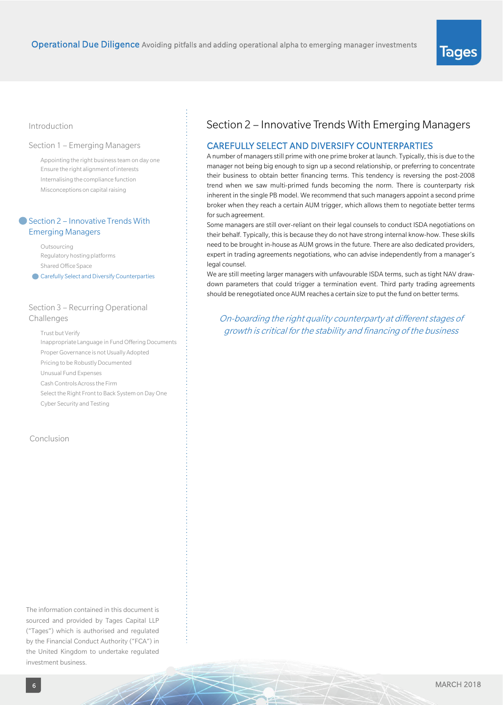#### Introduction

#### Section 1 – Emerging Managers

Appointing the right business team on day one Ensure the right alignment of interests Internalising the compliance function Misconceptions on capital raising

#### ■ Section 2 – Innovative Trends With Emerging Managers

Outsourcing Regulatory hosting platforms Shared Office Space

**Carefully Select and Diversify Counterparties** 

#### Section 3 – Recurring Operational Challenges

Trust but Verify Inappropriate Language in Fund Offering Documents Proper Governance is not Usually Adopted Pricing to be Robustly Documented Unusual Fund Expenses Cash Controls Across the Firm Select the Right Front to Back System on Day One Cyber Security and Testing

#### Conclusion

The information contained in this document is sourced and provided by Tages Capital LLP ("Tages") which is authorised and regulated by the Financial Conduct Authority ("FCA") in the United Kingdom to undertake regulated investment business.

# Section 2 – Innovative Trends With Emerging Managers

#### CAREFULLY SELECT AND DIVERSIFY COUNTERPARTIES

A number of managers still prime with one prime broker at launch. Typically, this is due to the manager not being big enough to sign up a second relationship, or preferring to concentrate their business to obtain better financing terms. This tendency is reversing the post-2008 trend when we saw multi-primed funds becoming the norm. There is counterparty risk inherent in the single PB model. We recommend that such managers appoint a second prime broker when they reach a certain AUM trigger, which allows them to negotiate better terms for such agreement.

Some managers are still over-reliant on their legal counsels to conduct ISDA negotiations on their behalf. Typically, thisis because they do not have strong internal know-how. These skills need to be brought in-house as AUM grows in the future. There are also dedicated providers, expert in trading agreements negotiations, who can advise independently from a manager's legal counsel.

We are still meeting larger managers with unfavourable ISDA terms, such as tight NAV drawdown parameters that could trigger a termination event. Third party trading agreements should be renegotiated once AUM reaches a certain size to put the fund on better terms.

On-boarding the right quality counterparty at different stages of growth is critical for the stability and financing of the business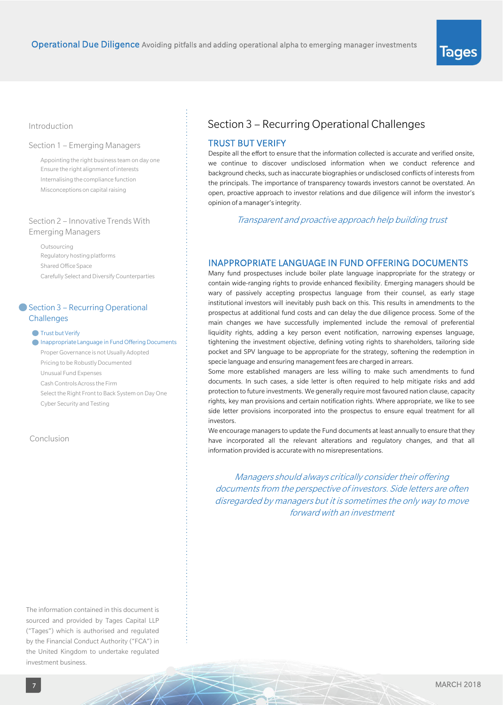#### Introduction

#### Section 1 – Emerging Managers

Appointing the right business team on day one Ensure the right alignment of interests Internalising the compliance function Misconceptions on capital raising

#### Section 2 – Innovative Trends With Emerging Managers

Outsourcing Regulatory hosting platforms Shared Office Space Carefully Select and Diversify Counterparties

#### Section 3 – Recurring Operational **Challenges**

**Trust but Verify** 

Inappropriate Language in Fund Offering Documents

Proper Governance is not Usually Adopted Pricing to be Robustly Documented Unusual Fund Expenses Cash Controls Across the Firm Select the Right Front to Back System on Day One Cyber Security and Testing

#### Conclusion

The information contained in this document is sourced and provided by Tages Capital LLP ("Tages") which is authorised and regulated by the Financial Conduct Authority ("FCA") in the United Kingdom to undertake regulated investment business.

 $\mathbb{Z}^{\times}$ 

# Section 3 – Recurring Operational Challenges

#### TRUST BUT VERIFY

Despite all the effort to ensure that the information collected is accurate and verified onsite, we continue to discover undisclosed information when we conduct reference and background checks, such as inaccurate biographies or undisclosed conflicts of interests from the principals. The importance of transparency towards investors cannot be overstated. An open, proactive approach to investor relations and due diligence will inform the investor's opinion of a manager's integrity.

Transparent and proactive approach help building trust

#### INAPPROPRIATE LANGUAGE IN FUND OFFERING DOCUMENTS

Many fund prospectuses include boiler plate language inappropriate for the strategy or contain wide-ranging rights to provide enhanced flexibility. Emerging managers should be wary of passively accepting prospectus language from their counsel, as early stage institutional investors will inevitably push back on this. This results in amendments to the prospectus at additional fund costs and can delay the due diligence process. Some of the main changes we have successfully implemented include the removal of preferential liquidity rights, adding a key person event notification, narrowing expenses language, tightening the investment objective, defining voting rights to shareholders, tailoring side pocket and SPV language to be appropriate for the strategy, softening the redemption in specie language and ensuring management fees are charged in arrears.

Some more established managers are less willing to make such amendments to fund documents. In such cases, a side letter is often required to help mitigate risks and add protection to future investments. We generally require most favoured nation clause, capacity rights, key man provisions and certain notification rights. Where appropriate, we like to see side letter provisions incorporated into the prospectus to ensure equal treatment for all investors.

We encourage managers to update the Fund documents at least annually to ensure that they have incorporated all the relevant alterations and regulatory changes, and that all information provided is accuratewith no misrepresentations.

Managers should always critically consider their offering documents from the perspective of investors. Side letters are often disregarded by managers but it is sometimes the only way to move forward with an investment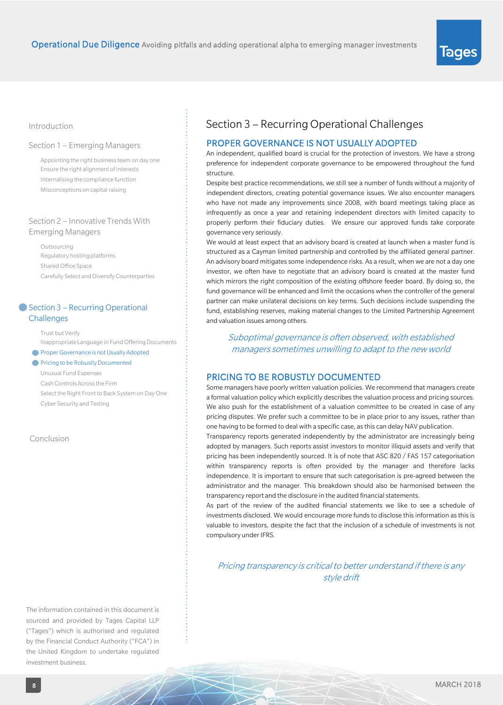#### Introduction

#### Section 1 – Emerging Managers

Appointing the right business team on day one Ensure the right alignment of interests Internalising the compliance function Misconceptions on capital raising

#### Section 2 – Innovative Trends With Emerging Managers

Outsourcing Regulatory hosting platforms Shared Office Space Carefully Select and Diversify Counterparties

#### Section 3 – Recurring Operational **Challenges**

Trust but Verify Inappropriate Language in Fund Offering Documents **Proper Governance is not Usually Adopted** 

**Pricing to be Robustly Documented** 

Unusual Fund Expenses

Cash Controls Across the Firm

Select the Right Front to Back System on Day One Cyber Security and Testing

Conclusion

The information contained in this document is sourced and provided by Tages Capital LLP ("Tages") which is authorised and regulated by the Financial Conduct Authority ("FCA") in the United Kingdom to undertake regulated investment business.

 $\mathbb{Z} \mathbb{X}$ 

### Section 3 – Recurring Operational Challenges

#### PROPER GOVERNANCE IS NOT USUALLY ADOPTED

An independent, qualified board is crucial for the protection of investors. We have a strong preference for independent corporate governance to be empowered throughout the fund structure.

Despite best practice recommendations, we still see a number of funds without a majority of independent directors, creating potential governance issues. We also encounter managers who have not made any improvements since 2008, with board meetings taking place as infrequently as once a year and retaining independent directors with limited capacity to properly perform their fiduciary duties. We ensure our approved funds take corporate governance very seriously.

We would at least expect that an advisory board is created at launch when a master fund is structured as a Cayman limited partnership and controlled by the affiliated general partner. An advisory board mitigates some independence risks. As a result, when we are not a day one investor, we often have to negotiate that an advisory board is created at the master fund which mirrors the right composition of the existing offshore feeder board. By doing so, the fund governance will be enhanced and limit the occasions when the controller of the general partner can make unilateral decisions on key terms. Such decisions include suspending the fund, establishing reserves, making material changes to the Limited Partnership Agreement and valuation issues among others.

Suboptimal governance is often observed, with established managers sometimes unwilling to adapt to the new world

#### PRICING TO BE ROBUSTLY DOCUMENTED

Some managers have poorly written valuation policies. We recommend that managers create a formal valuation policy which explicitly describes the valuation process and pricing sources. We also push for the establishment of a valuation committee to be created in case of any pricing disputes. We prefer such a committee to be in place prior to any issues, rather than one having to be formed to deal with a specific case, asthis can delay NAV publication.

Transparency reports generated independently by the administrator are increasingly being adopted by managers. Such reports assist investors to monitor illiquid assets and verify that pricing has been independently sourced. It is of note that ASC 820 / FAS 157 categorisation within transparency reports is often provided by the manager and therefore lacks independence. It is important to ensure that such categorisation is pre-agreed between the administrator and the manager. This breakdown should also be harmonised between the transparency report and the disclosure in the audited financial statements.

As part of the review of the audited financial statements we like to see a schedule of investments disclosed. We would encourage more funds to disclose this information as this is valuable to investors, despite the fact that the inclusion of a schedule of investments is not compulsory under IFRS.

Pricing transparency is critical to better understand if there is any style drift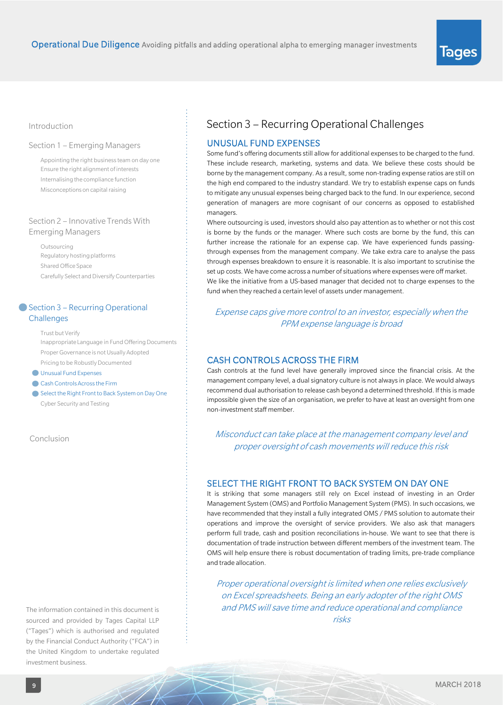#### Introduction

#### Section 1 – Emerging Managers

Appointing the right business team on day one Ensure the right alignment of interests Internalising the compliance function Misconceptions on capital raising

#### Section 2 – Innovative Trends With Emerging Managers

Outsourcing Regulatory hosting platforms Shared Office Space Carefully Select and Diversify Counterparties

#### ● Section 3 – Recurring Operational **Challenges**

Trust but Verify Inappropriate Language in Fund Offering Documents Proper Governance is not Usually Adopted Pricing to be Robustly Documented

Unusual Fund Expenses

- Cash Controls Across the Firm
- Select the Right Front to Back System on Day One Cyber Security and Testing

Conclusion

The information contained in this document is sourced and provided by Tages Capital LLP ("Tages") which is authorised and regulated by the Financial Conduct Authority ("FCA") in the United Kingdom to undertake regulated investment business.

 $\mathbb{Z} \mathbb{X}$ 

# Section 3 – Recurring Operational Challenges

#### UNUSUAL FUND EXPENSES

Some fund's offering documents still allow for additional expenses to be charged to the fund. These include research, marketing, systems and data. We believe these costs should be borne by the management company. As a result, some non-trading expense ratios are still on the high end compared to the industry standard. We try to establish expense caps on funds to mitigate any unusual expenses being charged back to the fund. In our experience, second generation of managers are more cognisant of our concerns as opposed to established managers.

Where outsourcing is used, investors should also pay attention as to whether or not this cost is borne by the funds or the manager. Where such costs are borne by the fund, this can further increase the rationale for an expense cap. We have experienced funds passingthrough expenses from the management company. We take extra care to analyse the pass through expenses breakdown to ensure it is reasonable. It is also important to scrutinise the set up costs. We have come across a number of situations where expenses were off market. We like the initiative from a US-based manager that decided not to charge expenses to the fund when they reached a certain level of assets under management.

#### Expense caps give more control to an investor, especially when the PPM expense language is broad

#### CASH CONTROLS ACROSS THE FIRM

Cash controls at the fund level have generally improved since the financial crisis. At the management company level, a dual signatory culture is not always in place. We would always recommend dual authorisation to release cash beyond a determined threshold. If thisis made impossible given the size of an organisation, we prefer to have at least an oversight from one non-investmentstaff member.

Misconduct can take place at the management company level and proper oversight of cash movements will reduce this risk

#### SELECT THE RIGHT FRONT TO BACK SYSTEM ON DAY ONE

It is striking that some managers still rely on Excel instead of investing in an Order Management System (OMS) and Portfolio Management System (PMS). In such occasions, we have recommended that they install a fully integrated OMS / PMS solution to automate their operations and improve the oversight of service providers. We also ask that managers perform full trade, cash and position reconciliations in-house. We want to see that there is documentation of trade instruction between different members of the investment team. The OMS will help ensure there is robust documentation of trading limits, pre-trade compliance and trade allocation.

Proper operational oversight is limited when one relies exclusively on Excel spreadsheets. Being an early adopter of the right OMS and PMS will save time and reduce operational and compliance risks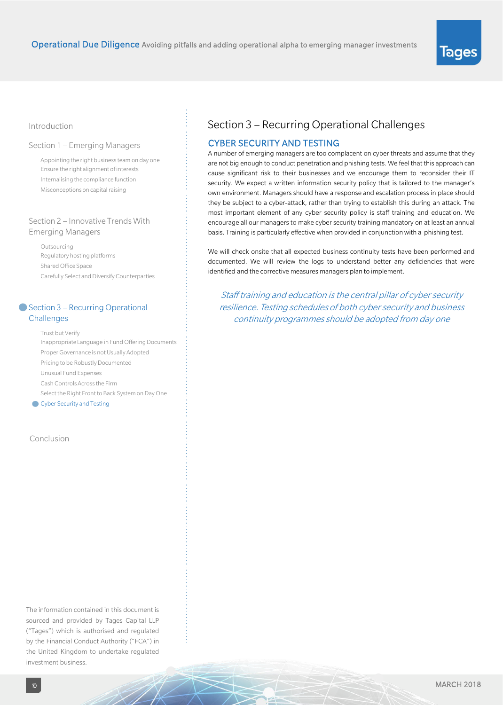# lages

#### Introduction

#### Section 1 – Emerging Managers

Appointing the right business team on day one Ensure the right alignment of interests Internalising the compliance function Misconceptions on capital raising

#### Section 2 – Innovative Trends With Emerging Managers

Outsourcing Regulatory hosting platforms Shared Office Space Carefully Select and Diversify Counterparties

#### ● Section 3 – Recurring Operational **Challenges**

Trust but Verify Inappropriate Language in Fund Offering Documents Proper Governance is not Usually Adopted Pricing to be Robustly Documented Unusual Fund Expenses Cash Controls Across the Firm Select the Right Front to Back System on Day One **Cyber Security and Testing** 

#### Conclusion

The information contained in this document is sourced and provided by Tages Capital LLP ("Tages") which is authorised and regulated by the Financial Conduct Authority ("FCA") in the United Kingdom to undertake regulated investment business.

H)

# Section 3 – Recurring Operational Challenges

#### CYBER SECURITY AND TESTING

A number of emerging managers are too complacent on cyber threats and assume that they are not big enough to conduct penetration and phishing tests. We feel that this approach can cause significant risk to their businesses and we encourage them to reconsider their IT security. We expect a written information security policy that is tailored to the manager's own environment. Managers should have a response and escalation process in place should they be subject to a cyber-attack, rather than trying to establish this during an attack. The most important element of any cyber security policy is staff training and education. We encourage all our managers to make cyber security training mandatory on at least an annual basis. Training is particularly effective when provided in conjunction with a phishing test.

We will check onsite that all expected business continuity tests have been performed and documented. We will review the logs to understand better any deficiencies that were identified and the corrective measures managers plan to implement.

Staff training and education is the central pillar of cyber security resilience. Testing schedules of both cyber security and business continuity programmes should be adopted from day one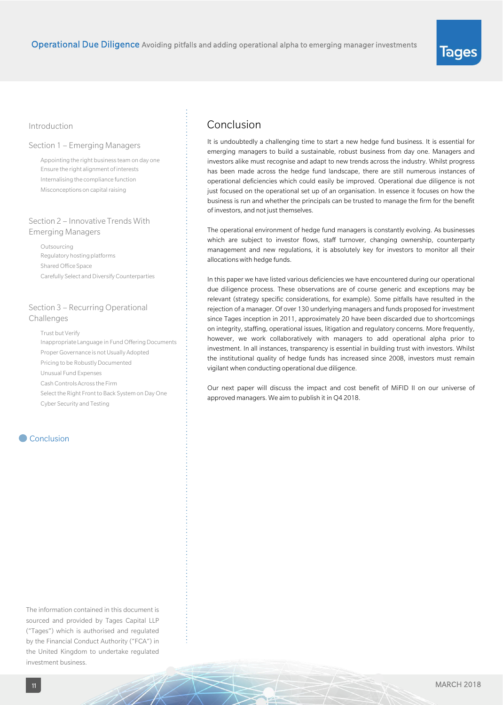#### Introduction

#### Section 1 – Emerging Managers

Appointing the right business team on day one Ensure the right alignment of interests Internalising the compliance function Misconceptions on capital raising

#### Section 2 – Innovative Trends With Emerging Managers

Outsourcing Regulatory hosting platforms Shared Office Space Carefully Select and Diversify Counterparties

#### Section 3 – Recurring Operational Challenges

Trust but Verify Inappropriate Language in Fund Offering Documents Proper Governance is not Usually Adopted Pricing to be Robustly Documented Unusual Fund Expenses Cash Controls Across the Firm Select the Right Front to Back System on Day One Cyber Security and Testing

#### Conclusion

The information contained in this document is sourced and provided by Tages Capital LLP ("Tages") which is authorised and regulated by the Financial Conduct Authority ("FCA") in the United Kingdom to undertake regulated investment business.

### Conclusion

It is undoubtedly a challenging time to start a new hedge fund business. It is essential for emerging managers to build a sustainable, robust business from day one. Managers and investors alike must recognise and adapt to new trends across the industry. Whilst progress has been made across the hedge fund landscape, there are still numerous instances of operational deficiencies which could easily be improved. Operational due diligence is not just focused on the operational set up of an organisation. In essence it focuses on how the business is run and whether the principals can be trusted to manage the firm for the benefit of investors, and not just themselves.

The operational environment of hedge fund managers is constantly evolving. As businesses which are subject to investor flows, staff turnover, changing ownership, counterparty management and new regulations, it is absolutely key for investors to monitor all their allocationswith hedge funds.

In this paper we have listed various deficiencies we have encountered during our operational due diligence process. These observations are of course generic and exceptions may be relevant (strategy specific considerations, for example). Some pitfalls have resulted in the rejection of a manager. Of over 130 underlying managers and funds proposed for investment since Tages inception in 2011, approximately 20 have been discarded due to shortcomings on integrity, staffing, operational issues, litigation and regulatory concerns. More frequently, however, we work collaboratively with managers to add operational alpha prior to investment. In all instances, transparency is essential in building trust with investors. Whilst the institutional quality of hedge funds has increased since 2008, investors must remain vigilant when conducting operational due diligence.

Our next paper will discuss the impact and cost benefit of MiFID II on our universe of approved managers. We aim to publish it in Q4 2018.

lages